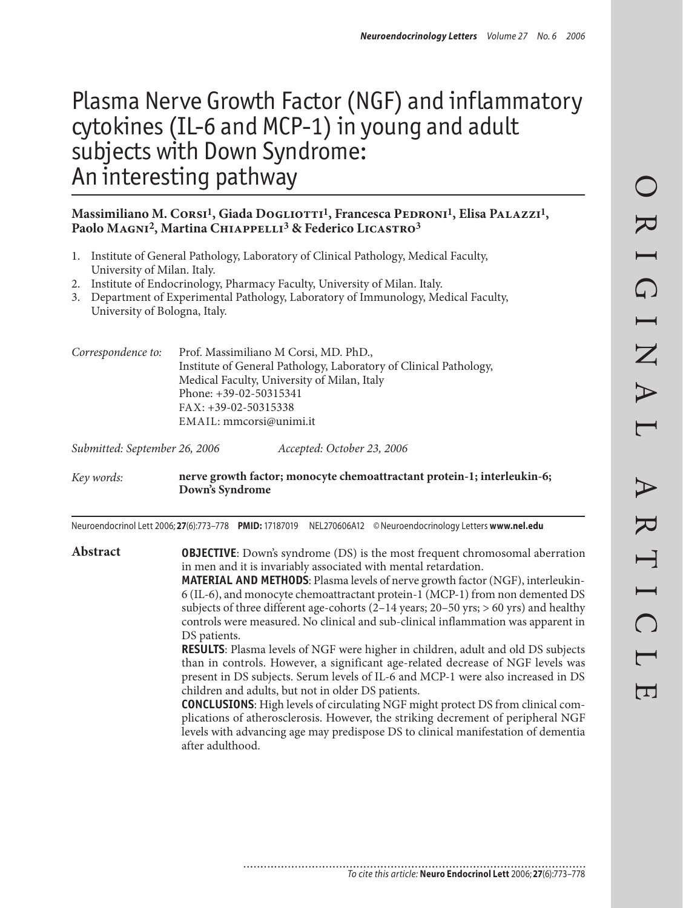# Plasma Nerve Growth Factor (NGF) and inflammatory cytokines (IL-6 and MCP-1) in young and adult subjects with Down Syndrome: An interesting pathway

#### **Massimiliano M. Corsi1, Giada Dogliotti1, Francesca Pedroni1, Elisa Palazzi1,**  Paolo MAGNI<sup>2</sup>, Martina CHIAPPELLI<sup>3</sup> & Federico LICASTRO<sup>3</sup>

- 1. Institute of General Pathology, Laboratory of Clinical Pathology, Medical Faculty, University of Milan. Italy.
- 2. Institute of Endocrinology, Pharmacy Faculty, University of Milan. Italy.
- Department of Experimental Pathology, Laboratory of Immunology, Medical Faculty, 3.University of Bologna, Italy.

*Correspondence to:* Prof. Massimiliano M Corsi, MD. PhD., Institute of General Pathology, Laboratory of Clinical Pathology, Medical Faculty, University of Milan, Italy Phone: +39-02-50315341 Fax: +39-02-50315338 Email: mmcorsi@unimi.it

*Submitted: September 26, 2006 Accepted: October 23, 2006*

*Key words:* **nerve growth factor; monocyte chemoattractant protein-1; interleukin-6; Down's Syndrome**

Neuroendocrinol Lett 2006; **27**(6):773–778 **PMID:** 17187019 NEL270606A12 ©Neuroendocrinology Letters **www.nel.edu**

**Abstract OBJECTIVE**: Down's syndrome (DS) is the most frequent chromosomal aberration in men and it is invariably associated with mental retardation. **MATERIAL AND METHODS**: Plasma levels of nerve growth factor (NGF), interleukin-6 (IL-6), and monocyte chemoattractant protein-1 (MCP-1) from non demented DS subjects of three different age-cohorts (2–14 years; 20–50 yrs; > 60 yrs) and healthy controls were measured. No clinical and sub-clinical inflammation was apparent in DS patients. **RESULTS**: Plasma levels of NGF were higher in children, adult and old DS subjects than in controls. However, a significant age-related decrease of NGF levels was present in DS subjects. Serum levels of IL-6 and MCP-1 were also increased in DS children and adults, but not in older DS patients. **CONCLUSIONS**: High levels of circulating NGF might protect DS from clinical complications of atherosclerosis. However, the striking decrement of peripheral NGF

levels with advancing age may predispose DS to clinical manifestation of dementia after adulthood.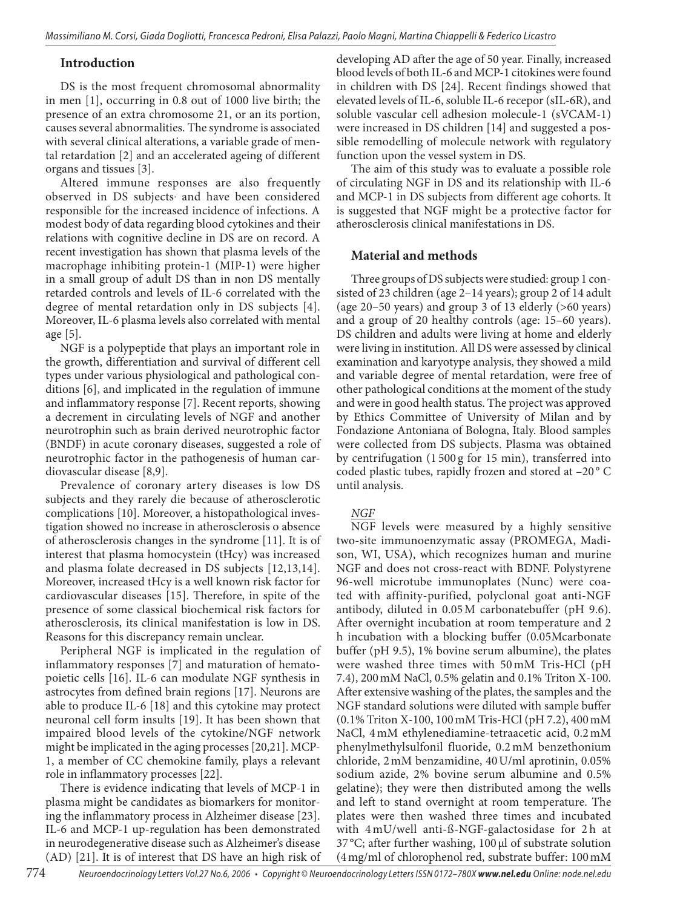# **Introduction**

DS is the most frequent chromosomal abnormality in men [1], occurring in 0.8 out of 1000 live birth; the presence of an extra chromosome 21, or an its portion, causes several abnormalities. The syndrome is associated with several clinical alterations, a variable grade of mental retardation [2] and an accelerated ageing of different organs and tissues [3].

Altered immune responses are also frequently observed in DS subjects and have been considered responsible for the increased incidence of infections. A modest body of data regarding blood cytokines and their relations with cognitive decline in DS are on record. A recent investigation has shown that plasma levels of the macrophage inhibiting protein-1 (MIP-1) were higher in a small group of adult DS than in non DS mentally retarded controls and levels of IL-6 correlated with the degree of mental retardation only in DS subjects [4]. Moreover, IL-6 plasma levels also correlated with mental age [5].

NGF is a polypeptide that plays an important role in the growth, differentiation and survival of different cell types under various physiological and pathological conditions [6], and implicated in the regulation of immune and inflammatory response [7]. Recent reports, showing a decrement in circulating levels of NGF and another neurotrophin such as brain derived neurotrophic factor (BNDF) in acute coronary diseases, suggested a role of neurotrophic factor in the pathogenesis of human cardiovascular disease [8,9].

Prevalence of coronary artery diseases is low DS subjects and they rarely die because of atherosclerotic complications [10]. Moreover, a histopathological investigation showed no increase in atherosclerosis o absence of atherosclerosis changes in the syndrome [11]. It is of interest that plasma homocystein (tHcy) was increased and plasma folate decreased in DS subjects [12,13,14]. Moreover, increased tHcy is a well known risk factor for cardiovascular diseases [15]. Therefore, in spite of the presence of some classical biochemical risk factors for atherosclerosis, its clinical manifestation is low in DS. Reasons for this discrepancy remain unclear.

Peripheral NGF is implicated in the regulation of inflammatory responses [7] and maturation of hematopoietic cells [16]. IL-6 can modulate NGF synthesis in astrocytes from defined brain regions [17]. Neurons are able to produce IL-6 [18] and this cytokine may protect neuronal cell form insults [19]. It has been shown that impaired blood levels of the cytokine/NGF network might be implicated in the aging processes [20,21]. MCP-1, a member of CC chemokine family, plays a relevant role in inflammatory processes [22].

There is evidence indicating that levels of MCP-1 in plasma might be candidates as biomarkers for monitoring the inflammatory process in Alzheimer disease [23]. IL-6 and MCP-1 up-regulation has been demonstrated in neurodegenerative disease such as Alzheimer's disease (AD) [21]. It is of interest that DS have an high risk of developing AD after the age of 50 year. Finally, increased blood levels of both IL-6 and MCP-1 citokines were found in children with DS [24]. Recent findings showed that elevated levels of IL-6, soluble IL-6 recepor (sIL-6R), and soluble vascular cell adhesion molecule-1 (sVCAM-1) were increased in DS children [14] and suggested a possible remodelling of molecule network with regulatory function upon the vessel system in DS.

The aim of this study was to evaluate a possible role of circulating NGF in DS and its relationship with IL-6 and MCP-1 in DS subjects from different age cohorts. It is suggested that NGF might be a protective factor for atherosclerosis clinical manifestations in DS.

# **Material and methods**

Three groups of DS subjects were studied: group 1 consisted of 23 children (age 2–14 years); group 2 of 14 adult (age 20–50 years) and group 3 of 13 elderly (>60 years) and a group of 20 healthy controls (age: 15–60 years). DS children and adults were living at home and elderly were living in institution. All DS were assessed by clinical examination and karyotype analysis, they showed a mild and variable degree of mental retardation, were free of other pathological conditions at the moment of the study and were in good health status. The project was approved by Ethics Committee of University of Milan and by Fondazione Antoniana of Bologna, Italy. Blood samples were collected from DS subjects. Plasma was obtained by centrifugation (1 500 g for 15 min), transferred into coded plastic tubes, rapidly frozen and stored at -20°C until analysis.

#### *NGF*

NGF levels were measured by a highly sensitive two-site immunoenzymatic assay (PROMEGA, Madison, WI, USA), which recognizes human and murine NGF and does not cross-react with BDNF. Polystyrene 96-well microtube immunoplates (Nunc) were coated with affinity-purified, polyclonal goat anti-NGF antibody, diluted in 0.05M carbonatebuffer (pH 9.6). After overnight incubation at room temperature and 2 h incubation with a blocking buffer (0.05Mcarbonate buffer (pH 9.5), 1% bovine serum albumine), the plates were washed three times with 50mM Tris-HCl (pH 7.4), 200mM NaCl, 0.5% gelatin and 0.1% Triton X-100. After extensive washing of the plates, the samples and the NGF standard solutions were diluted with sample buffer (0.1% Triton X‑100, 100mM Tris-HCl (pH 7.2), 400mM NaCl, 4mM ethylenediamine-tetraacetic acid, 0.2mM phenylmethylsulfonil fluoride, 0.2 mM benzethonium chloride, 2mM benzamidine, 40U/ml aprotinin, 0.05% sodium azide, 2% bovine serum albumine and 0.5% gelatine); they were then distributed among the wells and left to stand overnight at room temperature. The plates were then washed three times and incubated with 4 mU/well anti-ß-NGF-galactosidase for 2 h at 37 °C; after further washing, 100 µl of substrate solution (4mg/ml of chlorophenol red, substrate buffer: 100mM

774 *Neuroendocrinology Letters Vol.27 No.6, 2006 • Copyright © Neuroendocrinology Letters ISSN 0172–780X www.nel.edu Online: node.nel.edu*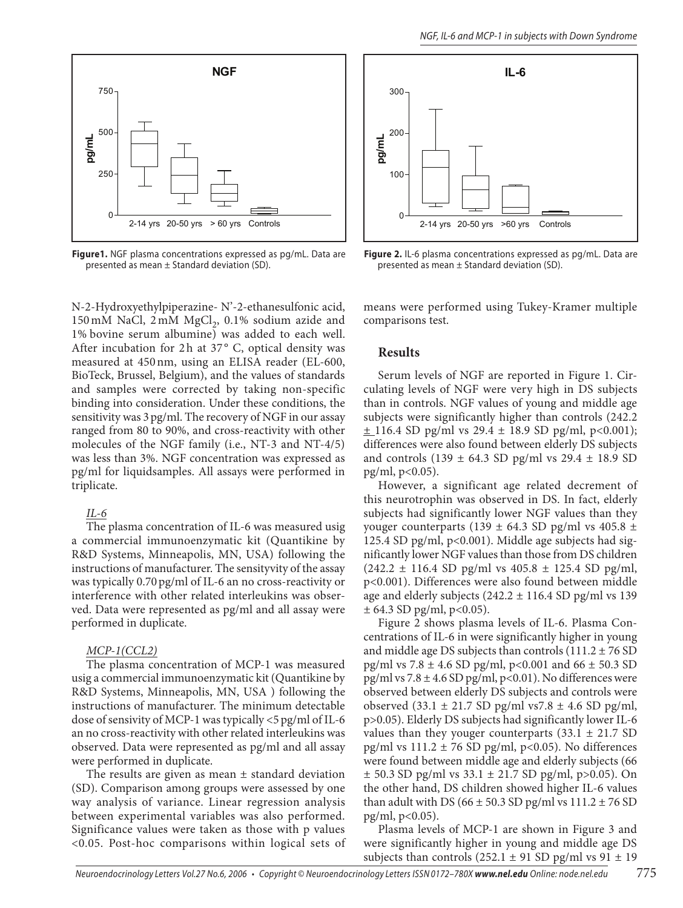

**Figure1.** NGF plasma concentrations expressed as pg/mL. Data are presented as mean ± Standard deviation (SD).

N-2-Hydroxyethylpiperazine- N'-2-ethanesulfonic acid, 150 mM NaCl, 2 mM MgCl<sub>2</sub>, 0.1% sodium azide and 1% bovine serum albumine) was added to each well. After incubation for 2h at  $37^{\circ}$  C, optical density was measured at 450nm, using an ELISA reader (EL-600, BioTeck, Brussel, Belgium), and the values of standards and samples were corrected by taking non-specific binding into consideration. Under these conditions, the sensitivity was 3pg/ml. The recovery of NGF in our assay ranged from 80 to 90%, and cross-reactivity with other molecules of the NGF family (i.e., NT-3 and NT-4/5) was less than 3%. NGF concentration was expressed as pg/ml for liquidsamples. All assays were performed in triplicate.

#### *IL-6*

The plasma concentration of IL-6 was measured usig a commercial immunoenzymatic kit (Quantikine by R&D Systems, Minneapolis, MN, USA) following the instructions of manufacturer. The sensityvity of the assay was typically 0.70pg/ml of IL-6 an no cross-reactivity or interference with other related interleukins was observed. Data were represented as pg/ml and all assay were performed in duplicate.

#### *MCP-1(CCL2)*

The plasma concentration of MCP-1 was measured usig a commercial immunoenzymatic kit (Quantikine by R&D Systems, Minneapolis, MN, USA ) following the instructions of manufacturer. The minimum detectable dose of sensivity of MCP-1 was typically <5 pg/ml of IL-6 an no cross-reactivity with other related interleukins was observed. Data were represented as pg/ml and all assay were performed in duplicate.

The results are given as mean  $\pm$  standard deviation (SD). Comparison among groups were assessed by one way analysis of variance. Linear regression analysis between experimental variables was also performed. Significance values were taken as those with p values <0.05. Post-hoc comparisons within logical sets of



**Figure 2.** IL-6 plasma concentrations expressed as pg/mL. Data are presented as mean ± Standard deviation (SD).

means were performed using Tukey-Kramer multiple comparisons test.

### **Results**

Serum levels of NGF are reported in Figure 1. Circulating levels of NGF were very high in DS subjects than in controls. NGF values of young and middle age subjects were significantly higher than controls (242.2  $\pm$  116.4 SD pg/ml vs 29.4  $\pm$  18.9 SD pg/ml, p<0.001); differences were also found between elderly DS subjects and controls (139  $\pm$  64.3 SD pg/ml vs 29.4  $\pm$  18.9 SD pg/ml, p<0.05).

However, a significant age related decrement of this neurotrophin was observed in DS. In fact, elderly subjects had significantly lower NGF values than they youger counterparts (139  $\pm$  64.3 SD pg/ml vs 405.8  $\pm$ 125.4 SD pg/ml, p<0.001). Middle age subjects had significantly lower NGF values than those from DS children  $(242.2 \pm 116.4 \text{ SD pg/ml vs } 405.8 \pm 125.4 \text{ SD pg/ml},$ p<0.001). Differences were also found between middle age and elderly subjects  $(242.2 \pm 116.4 \text{ SD pg/ml vs } 139)$  $± 64.3$  SD pg/ml, p<0.05).

Figure 2 shows plasma levels of IL-6. Plasma Concentrations of IL-6 in were significantly higher in young and middle age DS subjects than controls  $(111.2 \pm 76$  SD pg/ml vs  $7.8 \pm 4.6$  SD pg/ml, p<0.001 and  $66 \pm 50.3$  SD pg/ml vs  $7.8 \pm 4.6$  SD pg/ml, p<0.01). No differences were observed between elderly DS subjects and controls were observed (33.1  $\pm$  21.7 SD pg/ml vs7.8  $\pm$  4.6 SD pg/ml, p>0.05). Elderly DS subjects had significantly lower IL-6 values than they youger counterparts  $(33.1 \pm 21.7 \text{ SD})$ pg/ml vs  $111.2 \pm 76$  SD pg/ml, p<0.05). No differences were found between middle age and elderly subjects (66 ± 50.3 SD pg/ml vs 33.1 ± 21.7 SD pg/ml, p>0.05). On the other hand, DS children showed higher IL-6 values than adult with DS ( $66 \pm 50.3$  SD pg/ml vs  $111.2 \pm 76$  SD pg/ml, p<0.05).

Plasma levels of MCP-1 are shown in Figure 3 and were significantly higher in young and middle age DS subjects than controls (252.1  $\pm$  91 SD pg/ml vs 91  $\pm$  19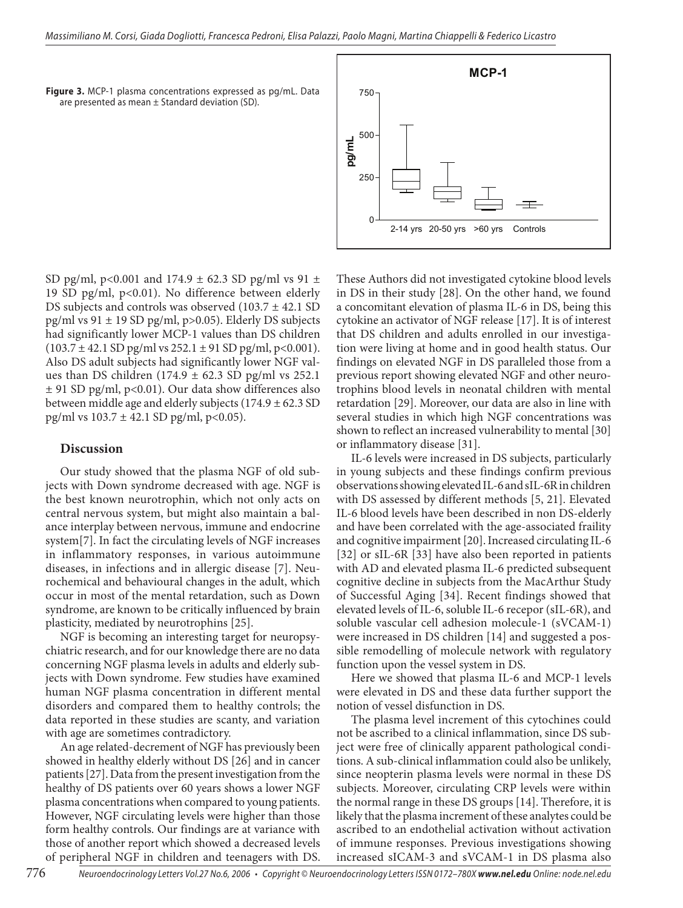**Figure 3.** MCP-1 plasma concentrations expressed as pg/mL. Data are presented as mean  $\pm$  Standard deviation (SD).

2-14 yrs 20-50 yrs >60 yrs Controls  $\Omega$ 250 500 750 **pg/m L**

**MCP-1**

SD pg/ml, p<0.001 and  $174.9 \pm 62.3$  SD pg/ml vs  $91 \pm$ 19 SD pg/ml, p<0.01). No difference between elderly DS subjects and controls was observed  $(103.7 \pm 42.1$  SD pg/ml vs  $91 \pm 19$  SD pg/ml, p>0.05). Elderly DS subjects had significantly lower MCP-1 values than DS children  $(103.7 \pm 42.1$  SD pg/ml vs 252.1  $\pm$  91 SD pg/ml, p<0.001). Also DS adult subjects had significantly lower NGF values than DS children (174.9  $\pm$  62.3 SD pg/ml vs 252.1  $\pm$  91 SD pg/ml, p<0.01). Our data show differences also between middle age and elderly subjects  $(174.9 \pm 62.3 \text{ SD})$ pg/ml vs  $103.7 \pm 42.1$  SD pg/ml, p<0.05).

#### **Discussion**

Our study showed that the plasma NGF of old subjects with Down syndrome decreased with age. NGF is the best known neurotrophin, which not only acts on central nervous system, but might also maintain a balance interplay between nervous, immune and endocrine system[7]. In fact the circulating levels of NGF increases in inflammatory responses, in various autoimmune diseases, in infections and in allergic disease [7]. Neurochemical and behavioural changes in the adult, which occur in most of the mental retardation, such as Down syndrome, are known to be critically influenced by brain plasticity, mediated by neurotrophins [25].

NGF is becoming an interesting target for neuropsychiatric research, and for our knowledge there are no data concerning NGF plasma levels in adults and elderly subjects with Down syndrome. Few studies have examined human NGF plasma concentration in different mental disorders and compared them to healthy controls; the data reported in these studies are scanty, and variation with age are sometimes contradictory.

An age related-decrement of NGF has previously been showed in healthy elderly without DS [26] and in cancer patients [27]. Data from the present investigation from the healthy of DS patients over 60 years shows a lower NGF plasma concentrations when compared to young patients. However, NGF circulating levels were higher than those form healthy controls. Our findings are at variance with those of another report which showed a decreased levels of peripheral NGF in children and teenagers with DS. These Authors did not investigated cytokine blood levels in DS in their study [28]. On the other hand, we found a concomitant elevation of plasma IL-6 in DS, being this cytokine an activator of NGF release [17]. It is of interest that DS children and adults enrolled in our investigation were living at home and in good health status. Our findings on elevated NGF in DS paralleled those from a previous report showing elevated NGF and other neurotrophins blood levels in neonatal children with mental retardation [29]. Moreover, our data are also in line with several studies in which high NGF concentrations was shown to reflect an increased vulnerability to mental [30] or inflammatory disease [31].

IL-6 levels were increased in DS subjects, particularly in young subjects and these findings confirm previous observations showing elevated IL-6 and sIL-6R in children with DS assessed by different methods [5, 21]. Elevated IL-6 blood levels have been described in non DS-elderly and have been correlated with the age-associated fraility and cognitive impairment [20]. Increased circulating IL-6 [32] or sIL-6R [33] have also been reported in patients with AD and elevated plasma IL-6 predicted subsequent cognitive decline in subjects from the MacArthur Study of Successful Aging [34]. Recent findings showed that elevated levels of IL-6, soluble IL-6 recepor (sIL-6R), and soluble vascular cell adhesion molecule-1 (sVCAM-1) were increased in DS children [14] and suggested a possible remodelling of molecule network with regulatory function upon the vessel system in DS.

Here we showed that plasma IL-6 and MCP-1 levels were elevated in DS and these data further support the notion of vessel disfunction in DS.

The plasma level increment of this cytochines could not be ascribed to a clinical inflammation, since DS subject were free of clinically apparent pathological conditions. A sub-clinical inflammation could also be unlikely, since neopterin plasma levels were normal in these DS subjects. Moreover, circulating CRP levels were within the normal range in these DS groups [14]. Therefore, it is likely that the plasma increment of these analytes could be ascribed to an endothelial activation without activation of immune responses. Previous investigations showing increased sICAM-3 and sVCAM-1 in DS plasma also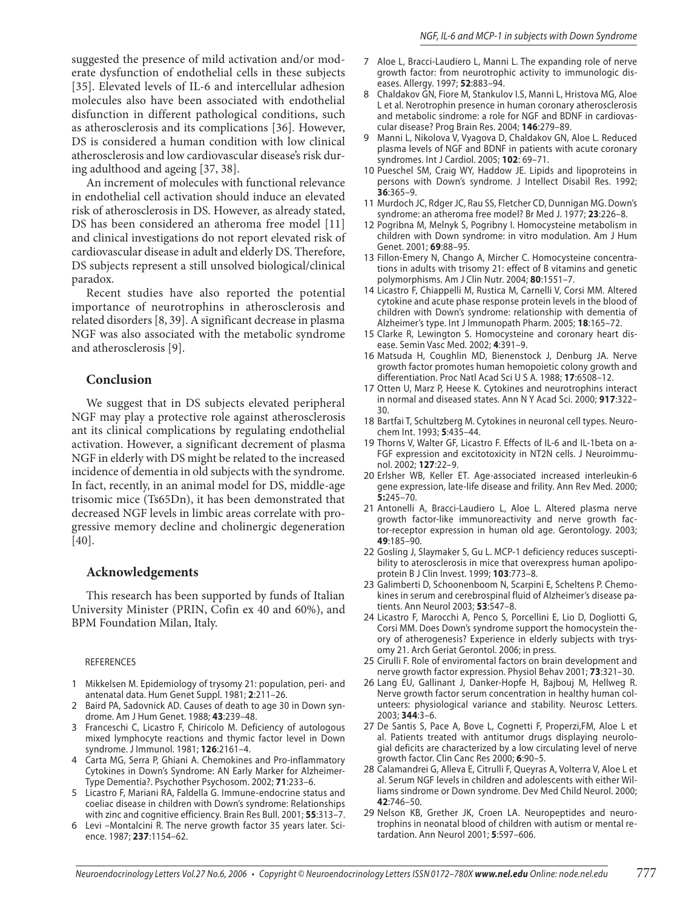suggested the presence of mild activation and/or moderate dysfunction of endothelial cells in these subjects [35]. Elevated levels of IL-6 and intercellular adhesion molecules also have been associated with endothelial disfunction in different pathological conditions, such as atherosclerosis and its complications [36]. However, DS is considered a human condition with low clinical atherosclerosis and low cardiovascular disease's risk during adulthood and ageing [37, 38].

An increment of molecules with functional relevance in endothelial cell activation should induce an elevated risk of atherosclerosis in DS. However, as already stated, DS has been considered an atheroma free model [11] and clinical investigations do not report elevated risk of cardiovascular disease in adult and elderly DS. Therefore, DS subjects represent a still unsolved biological/clinical paradox.

Recent studies have also reported the potential importance of neurotrophins in atherosclerosis and related disorders [8, 39]. A significant decrease in plasma NGF was also associated with the metabolic syndrome and atherosclerosis [9].

#### **Conclusion**

We suggest that in DS subjects elevated peripheral NGF may play a protective role against atherosclerosis ant its clinical complications by regulating endothelial activation. However, a significant decrement of plasma NGF in elderly with DS might be related to the increased incidence of dementia in old subjects with the syndrome. In fact, recently, in an animal model for DS, middle-age trisomic mice (Ts65Dn), it has been demonstrated that decreased NGF levels in limbic areas correlate with progressive memory decline and cholinergic degeneration [40].

#### **Acknowledgements**

This research has been supported by funds of Italian University Minister (PRIN, Cofin ex 40 and 60%), and BPM Foundation Milan, Italy.

#### REFERENCES

- Mikkelsen M. Epidemiology of trysomy 21: population, peri- and 1 antenatal data. Hum Genet Suppl. 1981; **2**:211–26.
- 2 Baird PA, Sadovnick AD. Causes of death to age 30 in Down syndrome. Am J Hum Genet. 1988; **43**:239–48.
- 3 Franceschi C, Licastro F, Chiricolo M. Deficiency of autologous mixed lymphocyte reactions and thymic factor level in Down syndrome. J Immunol. 1981; **126**:2161–4.
- Carta MG, Serra P, Ghiani A. Chemokines and Pro-inflammatory 4 Cytokines in Down's Syndrome: AN Early Marker for Alzheimer-Type Dementia?. Psychother Psychosom. 2002; **71**:233–6.
- 5 Licastro F, Mariani RA, Faldella G. Immune-endocrine status and coeliac disease in children with Down's syndrome: Relationships with zinc and cognitive efficiency. Brain Res Bull. 2001; **55**:313–7.
- 6 Levi Montalcini R. The nerve growth factor 35 years later. Science. 1987; **237**:1154–62.
- 7 Aloe L, Bracci-Laudiero L, Manni L. The expanding role of nerve growth factor: from neurotrophic activity to immunologic diseases. Allergy. 1997; **52**:883–94.
- Chaldakov GN, Fiore M, Stankulov I.S, Manni L, Hristova MG, Aloe L et al. Nerotrophin presence in human coronary atherosclerosis and metabolic sindrome: a role for NGF and BDNF in cardiovascular disease? Prog Brain Res. 2004; **146**:279–89. 8
- Manni L, Nikolova V, Vyagova D, Chaldakov GN, Aloe L. Reduced plasma levels of NGF and BDNF in patients with acute coronary syndromes. Int J Cardiol. 2005; **102**: 69–71. 9
- 10 Pueschel SM, Craig WY, Haddow JE. Lipids and lipoproteins in persons with Down's syndrome. J Intellect Disabil Res. 1992; **36**:365–9.
- 11 Murdoch JC, Rdger JC, Rau SS, Fletcher CD, Dunnigan MG. Down's syndrome: an atheroma free model? Br Med J. 1977; **23**:226–8.
- 12 Pogribna M, Melnyk S, Pogribny I. Homocysteine metabolism in children with Down syndrome: in vitro modulation. Am J Hum Genet. 2001; **69**:88–95.
- 13 Fillon-Emery N, Chango A, Mircher C. Homocysteine concentrations in adults with trisomy 21: effect of B vitamins and genetic polymorphisms. Am J Clin Nutr. 2004; **80**:1551–7.
- 14 Licastro F, Chiappelli M, Rustica M, Carnelli V, Corsi MM. Altered cytokine and acute phase response protein levels in the blood of children with Down's syndrome: relationship with dementia of Alzheimer's type. Int J Immunopath Pharm. 2005; **18**:165–72.
- 15 Clarke R, Lewington S. Homocysteine and coronary heart disease. Semin Vasc Med. 2002; **4**:391–9.
- 16 Matsuda H, Coughlin MD, Bienenstock J, Denburg JA. Nerve growth factor promotes human hemopoietic colony growth and differentiation. Proc Natl Acad Sci U S A. 1988; **17**:6508–12.
- 17 Otten U, Marz P, Heese K. Cytokines and neurotrophins interact in normal and diseased states. Ann N Y Acad Sci. 2000; **917**:322– 30.
- 18 Bartfai T, Schultzberg M. Cytokines in neuronal cell types. Neurochem Int. 1993; **5**:435–44.
- 19 Thorns V, Walter GF, Licastro F. Effects of IL-6 and IL-1beta on a-FGF expression and excitotoxicity in NT2N cells. J Neuroimmunol. 2002; **127**:22–9.
- 20 Erlsher WB, Keller ET. Age-associated increased interleukin-6 gene expression, late-life disease and frility. Ann Rev Med. 2000; **5:**245–70.
- 21 Antonelli A, Bracci-Laudiero L, Aloe L. Altered plasma nerve growth factor-like immunoreactivity and nerve growth factor-receptor expression in human old age. Gerontology. 2003; **49**:185–90.
- 22 Gosling J, Slaymaker S, Gu L. MCP-1 deficiency reduces susceptibility to aterosclerosis in mice that overexpress human apolipoprotein B J Clin Invest. 1999; **103**:773–8.
- 23 Galimberti D, Schoonenboom N, Scarpini E, Scheltens P. Chemokines in serum and cerebrospinal fluid of Alzheimer's disease patients. Ann Neurol 2003; **53**:547–8.
- 24 Licastro F, Marocchi A, Penco S, Porcellini E, Lio D, Dogliotti G, Corsi MM. Does Down's syndrome support the homocystein theory of atherogenesis? Experience in elderly subjects with trysomy 21. Arch Geriat Gerontol. 2006; in press.
- 25 Cirulli F. Role of enviromental factors on brain development and nerve growth factor expression. Physiol Behav 2001; **73**:321–30.
- 26 Lang EU, Gallinant J, Danker-Hopfe H, Bajbouj M, Hellweg R. Nerve growth factor serum concentration in healthy human colunteers: physiological variance and stability. Neurosc Letters. 2003; **344**:3–6.
- 27 De Santis S, Pace A, Bove L, Cognetti F, Properzi, FM, Aloe L et al. Patients treated with antitumor drugs displaying neurologial deficits are characterized by a low circulating level of nerve growth factor. Clin Canc Res 2000; **6**:90–5.
- 28 Calamandrei G, Alleva E, Citrulli F, Queyras A, Volterra V, Aloe L et al. Serum NGF levels in children and adolescents with either Williams sindrome or Down syndrome. Dev Med Child Neurol. 2000; **42**:746–50.
- 29 Nelson KB, Grether JK, Croen LA. Neuropeptides and neurotrophins in neonatal blood of children with autism or mental retardation. Ann Neurol 2001; **5**:597–606.